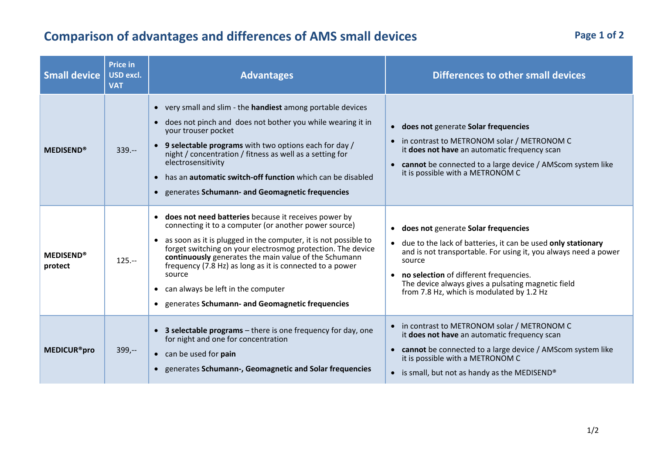## **Comparison of advantages and differences of AMS small devices**

| <b>Small device</b>           | <b>Price in</b><br><b>USD excl.</b><br><b>VAT</b> | <b>Advantages</b>                                                                                                                                                                                                                                                                                                                                                                                                                                                                                     | Differences to other small devices                                                                                                                                                                                                                                                                                                  |
|-------------------------------|---------------------------------------------------|-------------------------------------------------------------------------------------------------------------------------------------------------------------------------------------------------------------------------------------------------------------------------------------------------------------------------------------------------------------------------------------------------------------------------------------------------------------------------------------------------------|-------------------------------------------------------------------------------------------------------------------------------------------------------------------------------------------------------------------------------------------------------------------------------------------------------------------------------------|
| <b>MEDISEND®</b>              | $339. -$                                          | • very small and slim - the <b>handiest</b> among portable devices<br>does not pinch and does not bother you while wearing it in<br>$\bullet$<br>your trouser pocket<br>• 9 selectable programs with two options each for day /<br>night / concentration / fitness as well as a setting for<br>electrosensitivity<br>has an <b>automatic switch-off function</b> which can be disabled<br>$\bullet$<br>• generates Schumann- and Geomagnetic frequencies                                              | • does not generate Solar frequencies<br>in contrast to METRONOM solar / METRONOM C<br>$\bullet$<br>it does not have an automatic frequency scan<br>• cannot be connected to a large device / AMScom system like<br>it is possible with a METRONOM C                                                                                |
| <b>MEDISEND®</b><br>protect   | $125 -$                                           | does not need batteries because it receives power by<br>$\bullet$<br>connecting it to a computer (or another power source)<br>• as soon as it is plugged in the computer, it is not possible to<br>forget switching on your electrosmog protection. The device<br>continuously generates the main value of the Schumann<br>frequency (7.8 Hz) as long as it is connected to a power<br>source<br>can always be left in the computer<br>$\bullet$<br>• generates Schumann- and Geomagnetic frequencies | • does not generate Solar frequencies<br>• due to the lack of batteries, it can be used only stationary<br>and is not transportable. For using it, you always need a power<br>source<br>• no selection of different frequencies.<br>The device always gives a pulsating magnetic field<br>from 7.8 Hz, which is modulated by 1.2 Hz |
| <b>MEDICUR<sup>®</sup>pro</b> | $399,-$                                           | 3 selectable programs - there is one frequency for day, one<br>for night and one for concentration<br>• can be used for pain<br>• generates Schumann-, Geomagnetic and Solar frequencies                                                                                                                                                                                                                                                                                                              | • in contrast to METRONOM solar / METRONOM C<br>it does not have an automatic frequency scan<br>• cannot be connected to a large device / AMScom system like<br>it is possible with a METRONOM C<br>• is small, but not as handy as the MEDISEND <sup>®</sup>                                                                       |